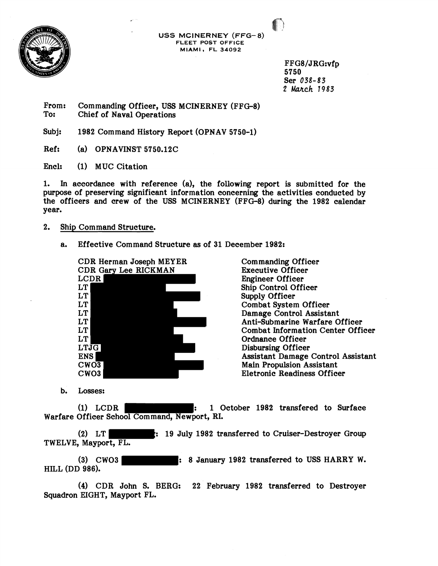

**USS MCINERNEY (FFG- 8) FLEET POST OFFICE MIAMI, FL 34092** 

> FFG8/JRG:vfp 5750 Ser 038-83 2 March 1983

From: Commanding Officer, USS MCINERNEY (FFG-8)<br>To: Chief of Naval Operations Chief of Naval Operations

Subj: 1982 Command History Report (OPNAV 5750-1)

Ref: (a) OPNAVINST 5750.12C

Encl: (1) MUC Citation

**1.** In accordance with reference (a), the following report is submitted for the purpose of preserving significant information concerning the activities conducted by the officers and crew of the USS MCINERNEY (FFG-8) during the 1982 calendar year.

## 2. Ship Command Structure.

a. Effective Command Structure as of 31 December 1982:



Com manding Officer Executive Officer Engineer Officer Ship Control Officer Supply Officer Combat System Officer Damage Control Assistant Anti-Submarine Warfare Officer Combat Information Center Officer Ordnance Officer Disbursing Officer Assistant Damage Control Assistant Main Propulsion Assistant Eletronic Readiness Officer

b. Losses:

(1) LCDR : 1 October 1982 transfered to Surface Warfare Officer School Command, Newport, RI.

(2) LT : 19 July 1982 transferred to Cruiser-Destroyer Group TWELVE, Mayport, FL.

(3) CWO3 : 8 January 1982 transferred to USS HARRY W. HILL (DD 986).

**(4)** CDR John S. BERG: 22 February 1982 transferred to Destroyer Squadron EIGHT, Mayport FL.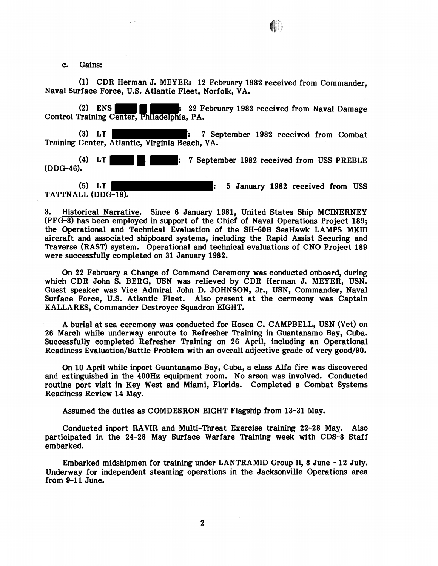c. Gains:

(1) CDR Herman J. MEYER: 12 February 1982 received from Commander, Naval Surface Force, U.S. Atlantic Fleet, Norfolk, VA.

(2) ENS  $\blacksquare$   $\blacksquare$  : 22 February 1982 received from Naval Damage Control Training Center, Philadelphia, PA.

(3) LT : 7 September 1982 received from Combat Training Center, Atlantic, Virginia Beach, VA.

(4) LT : 7 September 1982 received from USS PREBLE (DDG-46).

(5) LT : 5 January 1982 received from USS TATTNALL (DDG-19).

3. Historical Narrative. Since 6 January 1981, United States Ship MCINERNEY (FFG-8) has been employed in support of the Chief of Naval Operations Project 189; the Operational and Technical Evaluation of the SH-GOB SeaHawk LAMPS MKIII aircraft and associated shipboard systems, including the Rapid Assist Securing and Traverse (RAST) system. Operational and technical evaluations of CNO Project 189 were successfully completed on 31 January 1982.

On 22 February a Change of Command ceremony' was conducted onboard, during which CDR John S. BERG, USN was relieved by CDR Herman J. MEYER, USN. Guest speaker was Vice Admiral John D. JOHNSON, Jr., USN, Commander, Naval Surface Force, U.S. Atlantic Fleet. Also present at the cermeony was Captain KALLARES, Commander Destroyer Squadron EIGHT.

A burial at sea ceremony was conducted for Hosea C. CAMPBELL, USN (Vet) on 26 March while underway enroute to Refresher Training in Guantanamo Bay, Cuba. Successfully completed Refresher Training on 26 April, including an Operational Readiness Evaluation/Battle Problem with an overall adjective grade of very good/90.

On 10 April while inport Guantanamo Bay, Cuba, a class Alfa fire was discovered and extinguished in the 400Hz equipment room. No arson was involved. Conducted routine port visit in Key West and Miami, Florida. Completed a Combat Systems Readiness Review 14 May.

Assumed the duties as COMDESRON EIGHT Flagship from 13-31 May.

Conducted inport RAVIR and Multi-Threat Exercise training 22-28 May. Also participated in the 24-28 May Surface Warfare Training week with CDS-8 Staff embarked.

Embarked midshipmen for training under LANTRAMID Group 11, 8 June - 12 July. Underway for independent steaming operations in the Jacksonville Operations area from 9-11 June.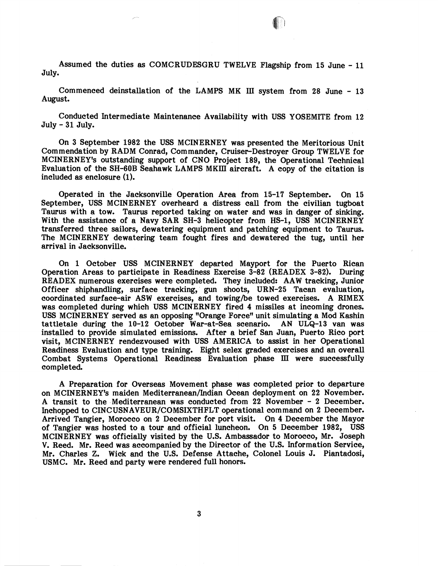Assumed the duties as COMCRUDESGRU TWELVE Flagship from 15 June - 11 July.

Commenced deinstallation of the LAMPS MK 111 system from 28 June - <sup>13</sup> August.

Conducted Intermediate Maintenance Availability with USS YOSEMITE from 12 July - 31 July.

On 3 September 1982 the USS MCINERNEY was presented the Meritorious Unit Commendation by RADM Conrad, Commander, Cruiser-Destroyer Group TWELVE for MCINERNEY's outstanding support of CNO Project 189, the Operational Technical Evaluation of the SH-GOB Seahawk LAMPS MKIII aircraft. A copy of the citation is included as enclosure (1).

Operated in the Jacksonville Operation Area from 15-17 September. On 15 September, USS MCINERNEY overheard a distress call from the civilian tugboat Taurus with a tow. Taurus reported taking on water and was in danger of sinking. With the assistance of a Navy SAR SH-3 helicopter from HS-1, USS MCINERNEY transferred three sailors, dewatering equipment and patching equipment to Taurus. The MCINERNEY dewatering team fought fires and dewatered the tug, until her arrival in Jacksonville.

On 1 October USS MCINERNEY departed Mayport for the Puerto Rican Operation Areas to participate in Readiness Exercise 3-82 (READEX 3-82). During READEX numerous exercises were completed. They included: AAW tracking, Junior Officer shiphandling, surface tracking, gun shoots, URN-25 Tacan evaluation, coordinated surface-air ASW exercises, and towing/be towed exercises. A RIMEX was completed during which USS MCINERNEY fired 4 missiles at incoming drones. USS MCINERNEY served as an opposing "Orange Force" unit simulating a Mod Kashin tattletale during the 10-12 October War-at-Sea scenario. AN ULQ-13 van was installed to provide simulated emissions. After a brief San Juan, Puerto Rico port visit, MCINERNEY rendezvoused with USS AMERICA to assist in her Operational Readiness Evaluation and type training. Eight selex graded exercises and an overall Combat Systems Operational Readiness Evaluation phase 111 were successfully completed.

A Preparation for Overseas Movement phase was completed prior to departure on MCINERNEY's maiden Mediterranean/Indian Ocean deployment on 22 November. A transit to the -Mediterranean was conducted from 22 November - 2 December. Inchopped to CINCUSNAVEUR/COMSIXTHFLT operational command on 2 December. Arrived Tangier, Morocco on 2 December for port visit. On 4 December the Mayor of Tangier was hosted to a tour and official luncheon. On 5 December 1982, USS MCINERNEY was officially visited by the U.S. Ambassador to Morocco, Mr. Joseph V. Reed. Mr. Reed was accompanied by the Director of the U.S. Information Service, Mr. Charles Z. Wick and the U.S. Defense Attache, Colonel Louis J. Piantadosi, USMC. Mr. Reed and party were rendered full honors.